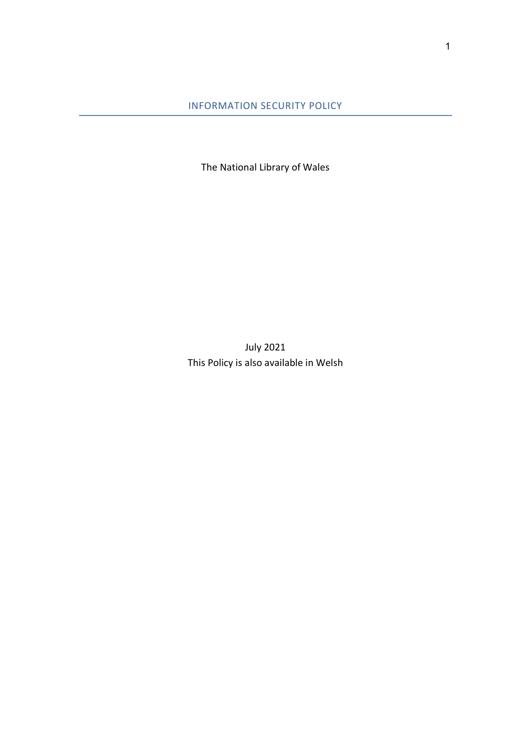INFORMATION SECURITY POLICY

The National Library of Wales

July 2021 This Policy is also available in Welsh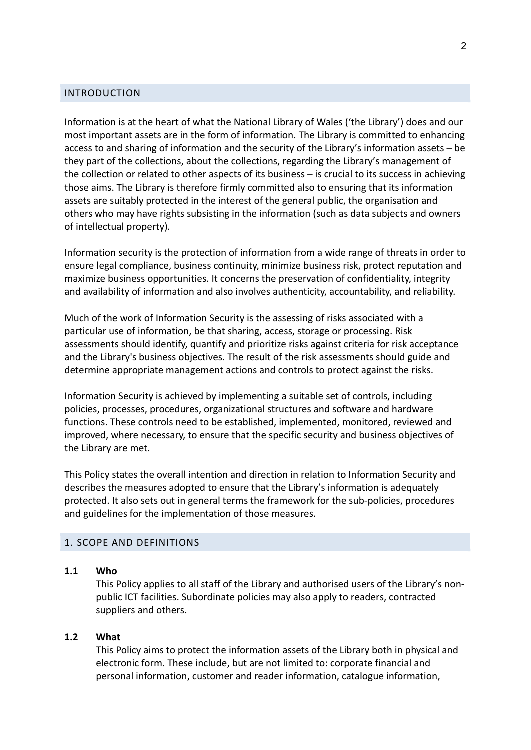# INTRODUCTION

Information is at the heart of what the National Library of Wales ('the Library') does and our most important assets are in the form of information. The Library is committed to enhancing access to and sharing of information and the security of the Library's information assets – be they part of the collections, about the collections, regarding the Library's management of the collection or related to other aspects of its business – is crucial to its success in achieving those aims. The Library is therefore firmly committed also to ensuring that its information assets are suitably protected in the interest of the general public, the organisation and others who may have rights subsisting in the information (such as data subjects and owners of intellectual property).

Information security is the protection of information from a wide range of threats in order to ensure legal compliance, business continuity, minimize business risk, protect reputation and maximize business opportunities. It concerns the preservation of confidentiality, integrity and availability of information and also involves authenticity, accountability, and reliability.

Much of the work of Information Security is the assessing of risks associated with a particular use of information, be that sharing, access, storage or processing. Risk assessments should identify, quantify and prioritize risks against criteria for risk acceptance and the Library's business objectives. The result of the risk assessments should guide and determine appropriate management actions and controls to protect against the risks.

Information Security is achieved by implementing a suitable set of controls, including policies, processes, procedures, organizational structures and software and hardware functions. These controls need to be established, implemented, monitored, reviewed and improved, where necessary, to ensure that the specific security and business objectives of the Library are met.

This Policy states the overall intention and direction in relation to Information Security and describes the measures adopted to ensure that the Library's information is adequately protected. It also sets out in general terms the framework for the sub-policies, procedures and guidelines for the implementation of those measures.

#### 1. SCOPE AND DEFINITIONS

#### 1.1 Who

This Policy applies to all staff of the Library and authorised users of the Library's nonpublic ICT facilities. Subordinate policies may also apply to readers, contracted suppliers and others.

#### 1.2 What

This Policy aims to protect the information assets of the Library both in physical and electronic form. These include, but are not limited to: corporate financial and personal information, customer and reader information, catalogue information,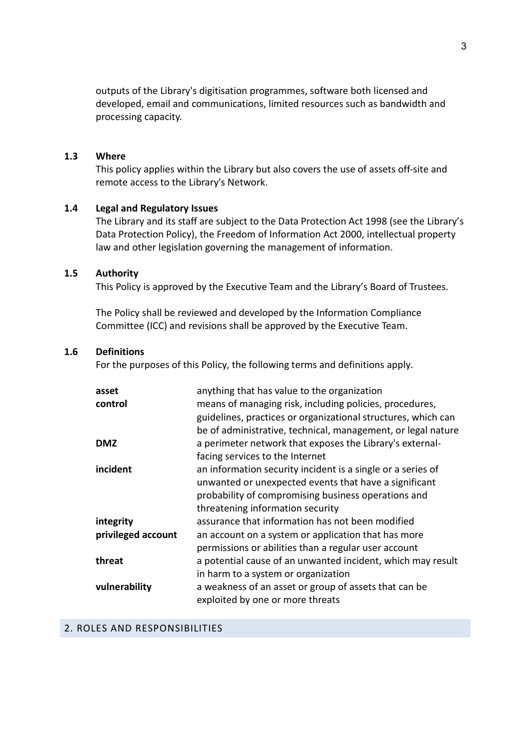outputs of the Library's digitisation programmes, software both licensed and developed, email and communications, limited resources such as bandwidth and processing capacity.

#### 1.3 Where

This policy applies within the Library but also covers the use of assets off-site and remote access to the Library's Network.

#### 1.4 Legal and Regulatory Issues

The Library and its staff are subject to the Data Protection Act 1998 (see the Library's Data Protection Policy), the Freedom of Information Act 2000, intellectual property law and other legislation governing the management of information.

#### 1.5 Authority

This Policy is approved by the Executive Team and the Library's Board of Trustees.

The Policy shall be reviewed and developed by the Information Compliance Committee (ICC) and revisions shall be approved by the Executive Team.

### 1.6 Definitions

For the purposes of this Policy, the following terms and definitions apply.

| asset              | anything that has value to the organization                   |
|--------------------|---------------------------------------------------------------|
| control            | means of managing risk, including policies, procedures,       |
|                    | guidelines, practices or organizational structures, which can |
|                    | be of administrative, technical, management, or legal nature  |
| <b>DMZ</b>         | a perimeter network that exposes the Library's external-      |
|                    | facing services to the Internet                               |
| incident           | an information security incident is a single or a series of   |
|                    | unwanted or unexpected events that have a significant         |
|                    | probability of compromising business operations and           |
|                    | threatening information security                              |
| integrity          | assurance that information has not been modified              |
| privileged account | an account on a system or application that has more           |
|                    | permissions or abilities than a regular user account          |
| threat             | a potential cause of an unwanted incident, which may result   |
|                    | in harm to a system or organization                           |
| vulnerability      | a weakness of an asset or group of assets that can be         |
|                    | exploited by one or more threats                              |

## 2. ROLES AND RESPONSIBILITIES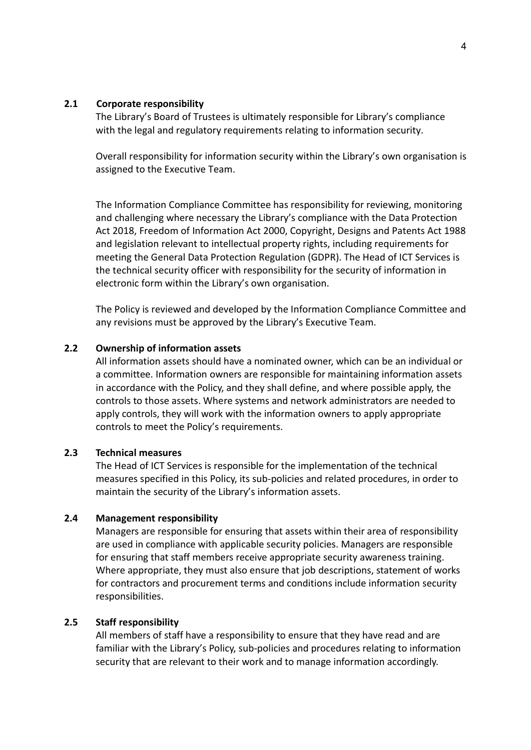### 2.1 Corporate responsibility

The Library's Board of Trustees is ultimately responsible for Library's compliance with the legal and regulatory requirements relating to information security.

Overall responsibility for information security within the Library's own organisation is assigned to the Executive Team.

The Information Compliance Committee has responsibility for reviewing, monitoring and challenging where necessary the Library's compliance with the Data Protection Act 2018, Freedom of Information Act 2000, Copyright, Designs and Patents Act 1988 and legislation relevant to intellectual property rights, including requirements for meeting the General Data Protection Regulation (GDPR). The Head of ICT Services is the technical security officer with responsibility for the security of information in electronic form within the Library's own organisation.

The Policy is reviewed and developed by the Information Compliance Committee and any revisions must be approved by the Library's Executive Team.

## 2.2 Ownership of information assets

All information assets should have a nominated owner, which can be an individual or a committee. Information owners are responsible for maintaining information assets in accordance with the Policy, and they shall define, and where possible apply, the controls to those assets. Where systems and network administrators are needed to apply controls, they will work with the information owners to apply appropriate controls to meet the Policy's requirements.

### 2.3 Technical measures

The Head of ICT Services is responsible for the implementation of the technical measures specified in this Policy, its sub-policies and related procedures, in order to maintain the security of the Library's information assets.

### 2.4 Management responsibility

Managers are responsible for ensuring that assets within their area of responsibility are used in compliance with applicable security policies. Managers are responsible for ensuring that staff members receive appropriate security awareness training. Where appropriate, they must also ensure that job descriptions, statement of works for contractors and procurement terms and conditions include information security responsibilities.

## 2.5 Staff responsibility

All members of staff have a responsibility to ensure that they have read and are familiar with the Library's Policy, sub-policies and procedures relating to information security that are relevant to their work and to manage information accordingly.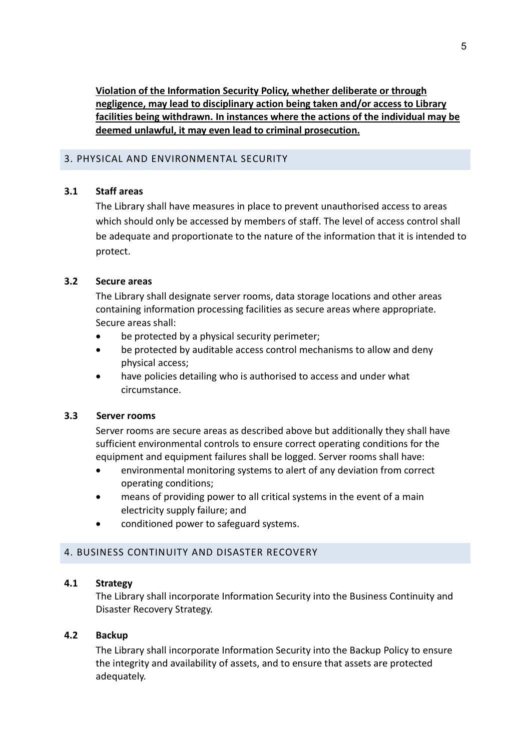Violation of the Information Security Policy, whether deliberate or through negligence, may lead to disciplinary action being taken and/or access to Library facilities being withdrawn. In instances where the actions of the individual may be deemed unlawful, it may even lead to criminal prosecution.

## 3. PHYSICAL AND ENVIRONMENTAL SECURITY

# 3.1 Staff areas

The Library shall have measures in place to prevent unauthorised access to areas which should only be accessed by members of staff. The level of access control shall be adequate and proportionate to the nature of the information that it is intended to protect.

# 3.2 Secure areas

The Library shall designate server rooms, data storage locations and other areas containing information processing facilities as secure areas where appropriate. Secure areas shall:

- be protected by a physical security perimeter;
- be protected by auditable access control mechanisms to allow and deny physical access;
- have policies detailing who is authorised to access and under what circumstance.

## 3.3 Server rooms

Server rooms are secure areas as described above but additionally they shall have sufficient environmental controls to ensure correct operating conditions for the equipment and equipment failures shall be logged. Server rooms shall have:

- environmental monitoring systems to alert of any deviation from correct operating conditions;
- means of providing power to all critical systems in the event of a main electricity supply failure; and
- conditioned power to safeguard systems.

## 4. BUSINESS CONTINUITY AND DISASTER RECOVERY

## 4.1 Strategy

The Library shall incorporate Information Security into the Business Continuity and Disaster Recovery Strategy.

# 4.2 Backup

The Library shall incorporate Information Security into the Backup Policy to ensure the integrity and availability of assets, and to ensure that assets are protected adequately.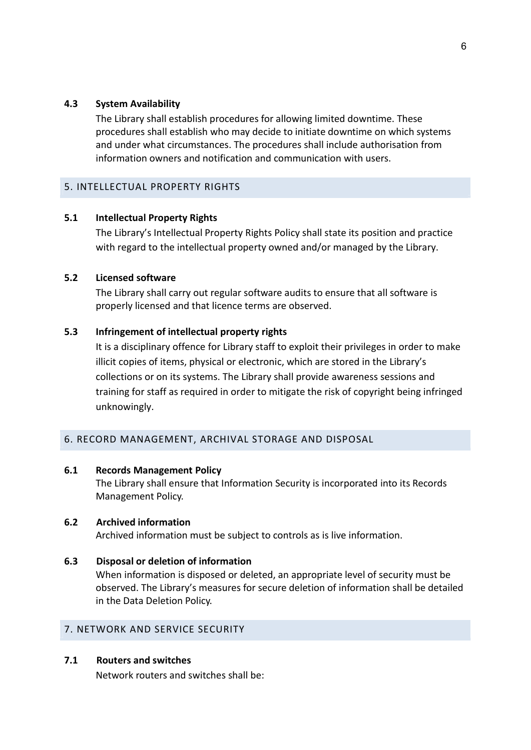## 4.3 System Availability

The Library shall establish procedures for allowing limited downtime. These procedures shall establish who may decide to initiate downtime on which systems and under what circumstances. The procedures shall include authorisation from information owners and notification and communication with users.

# 5. INTELLECTUAL PROPERTY RIGHTS

# 5.1 Intellectual Property Rights

The Library's Intellectual Property Rights Policy shall state its position and practice with regard to the intellectual property owned and/or managed by the Library.

# 5.2 Licensed software

The Library shall carry out regular software audits to ensure that all software is properly licensed and that licence terms are observed.

# 5.3 Infringement of intellectual property rights

It is a disciplinary offence for Library staff to exploit their privileges in order to make illicit copies of items, physical or electronic, which are stored in the Library's collections or on its systems. The Library shall provide awareness sessions and training for staff as required in order to mitigate the risk of copyright being infringed unknowingly.

# 6. RECORD MANAGEMENT, ARCHIVAL STORAGE AND DISPOSAL

## 6.1 Records Management Policy

The Library shall ensure that Information Security is incorporated into its Records Management Policy.

# 6.2 Archived information

Archived information must be subject to controls as is live information.

# 6.3 Disposal or deletion of information

When information is disposed or deleted, an appropriate level of security must be observed. The Library's measures for secure deletion of information shall be detailed in the Data Deletion Policy.

# 7. NETWORK AND SERVICE SECURITY

# 7.1 Routers and switches

Network routers and switches shall be: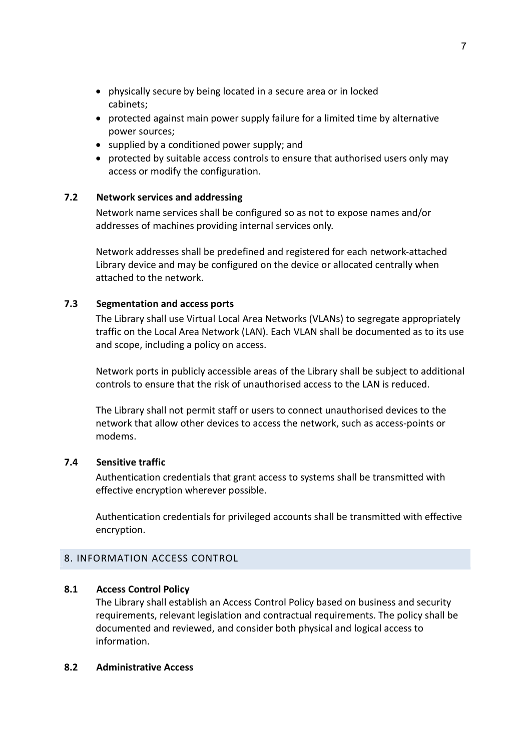- physically secure by being located in a secure area or in locked cabinets;
- protected against main power supply failure for a limited time by alternative power sources;
- $\bullet$  supplied by a conditioned power supply; and
- protected by suitable access controls to ensure that authorised users only may access or modify the configuration.

# 7.2 Network services and addressing

Network name services shall be configured so as not to expose names and/or addresses of machines providing internal services only.

Network addresses shall be predefined and registered for each network-attached Library device and may be configured on the device or allocated centrally when attached to the network.

# 7.3 Segmentation and access ports

The Library shall use Virtual Local Area Networks (VLANs) to segregate appropriately traffic on the Local Area Network (LAN). Each VLAN shall be documented as to its use and scope, including a policy on access.

Network ports in publicly accessible areas of the Library shall be subject to additional controls to ensure that the risk of unauthorised access to the LAN is reduced.

The Library shall not permit staff or users to connect unauthorised devices to the network that allow other devices to access the network, such as access-points or modems.

## 7.4 Sensitive traffic

Authentication credentials that grant access to systems shall be transmitted with effective encryption wherever possible.

Authentication credentials for privileged accounts shall be transmitted with effective encryption.

## 8. INFORMATION ACCESS CONTROL

## 8.1 Access Control Policy

The Library shall establish an Access Control Policy based on business and security requirements, relevant legislation and contractual requirements. The policy shall be documented and reviewed, and consider both physical and logical access to information.

## 8.2 Administrative Access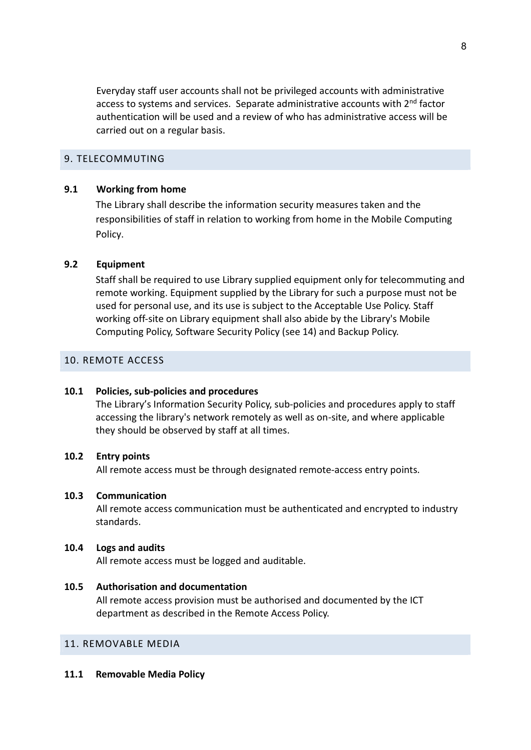Everyday staff user accounts shall not be privileged accounts with administrative access to systems and services. Separate administrative accounts with 2nd factor authentication will be used and a review of who has administrative access will be carried out on a regular basis.

#### 9. TELECOMMUTING

#### 9.1 Working from home

The Library shall describe the information security measures taken and the responsibilities of staff in relation to working from home in the Mobile Computing Policy.

#### 9.2 Equipment

Staff shall be required to use Library supplied equipment only for telecommuting and remote working. Equipment supplied by the Library for such a purpose must not be used for personal use, and its use is subject to the Acceptable Use Policy. Staff working off-site on Library equipment shall also abide by the Library's Mobile Computing Policy, Software Security Policy (see 14) and Backup Policy.

## 10. REMOTE ACCESS

#### 10.1 Policies, sub-policies and procedures

The Library's Information Security Policy, sub-policies and procedures apply to staff accessing the library's network remotely as well as on-site, and where applicable they should be observed by staff at all times.

### 10.2 Entry points

All remote access must be through designated remote-access entry points.

#### 10.3 Communication

All remote access communication must be authenticated and encrypted to industry standards.

#### 10.4 Logs and audits

All remote access must be logged and auditable.

#### 10.5 Authorisation and documentation

All remote access provision must be authorised and documented by the ICT department as described in the Remote Access Policy.

## 11. REMOVABLE MEDIA

11.1 Removable Media Policy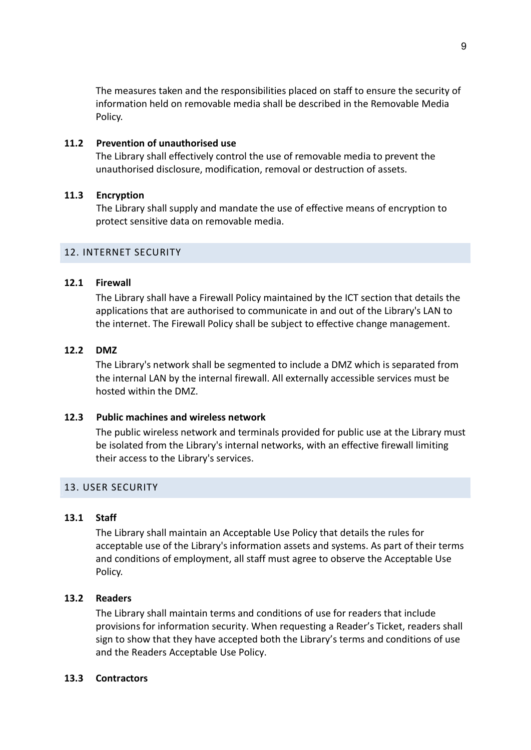The measures taken and the responsibilities placed on staff to ensure the security of information held on removable media shall be described in the Removable Media Policy.

## 11.2 Prevention of unauthorised use

The Library shall effectively control the use of removable media to prevent the unauthorised disclosure, modification, removal or destruction of assets.

# 11.3 Encryption

The Library shall supply and mandate the use of effective means of encryption to protect sensitive data on removable media.

# 12. INTERNET SECURITY

# 12.1 Firewall

The Library shall have a Firewall Policy maintained by the ICT section that details the applications that are authorised to communicate in and out of the Library's LAN to the internet. The Firewall Policy shall be subject to effective change management.

# 12.2 DMZ

The Library's network shall be segmented to include a DMZ which is separated from the internal LAN by the internal firewall. All externally accessible services must be hosted within the DMZ.

## 12.3 Public machines and wireless network

The public wireless network and terminals provided for public use at the Library must be isolated from the Library's internal networks, with an effective firewall limiting their access to the Library's services.

# 13. USER SECURITY

## 13.1 Staff

The Library shall maintain an Acceptable Use Policy that details the rules for acceptable use of the Library's information assets and systems. As part of their terms and conditions of employment, all staff must agree to observe the Acceptable Use Policy.

## 13.2 Readers

The Library shall maintain terms and conditions of use for readers that include provisions for information security. When requesting a Reader's Ticket, readers shall sign to show that they have accepted both the Library's terms and conditions of use and the Readers Acceptable Use Policy.

## 13.3 Contractors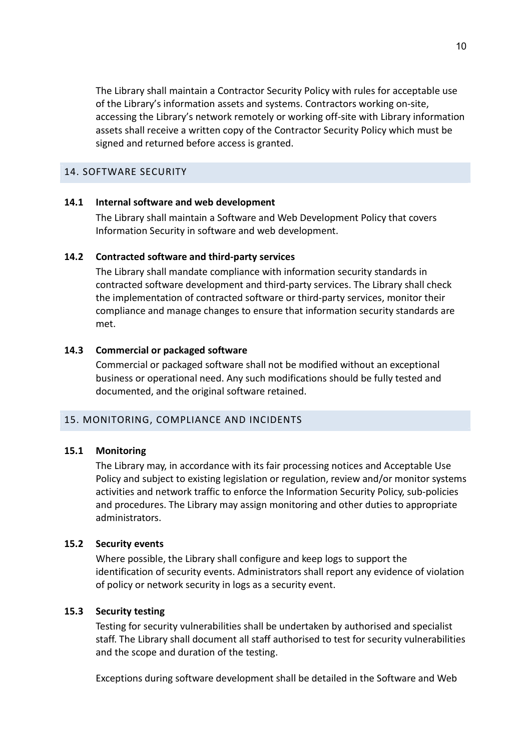The Library shall maintain a Contractor Security Policy with rules for acceptable use of the Library's information assets and systems. Contractors working on-site, accessing the Library's network remotely or working off-site with Library information assets shall receive a written copy of the Contractor Security Policy which must be signed and returned before access is granted.

#### 14. SOFTWARE SECURITY

#### 14.1 Internal software and web development

The Library shall maintain a Software and Web Development Policy that covers Information Security in software and web development.

#### 14.2 Contracted software and third-party services

The Library shall mandate compliance with information security standards in contracted software development and third-party services. The Library shall check the implementation of contracted software or third-party services, monitor their compliance and manage changes to ensure that information security standards are met.

#### 14.3 Commercial or packaged software

Commercial or packaged software shall not be modified without an exceptional business or operational need. Any such modifications should be fully tested and documented, and the original software retained.

#### 15. MONITORING, COMPLIANCE AND INCIDENTS

#### 15.1 Monitoring

The Library may, in accordance with its fair processing notices and Acceptable Use Policy and subject to existing legislation or regulation, review and/or monitor systems activities and network traffic to enforce the Information Security Policy, sub-policies and procedures. The Library may assign monitoring and other duties to appropriate administrators.

### 15.2 Security events

Where possible, the Library shall configure and keep logs to support the identification of security events. Administrators shall report any evidence of violation of policy or network security in logs as a security event.

## 15.3 Security testing

Testing for security vulnerabilities shall be undertaken by authorised and specialist staff. The Library shall document all staff authorised to test for security vulnerabilities and the scope and duration of the testing.

Exceptions during software development shall be detailed in the Software and Web